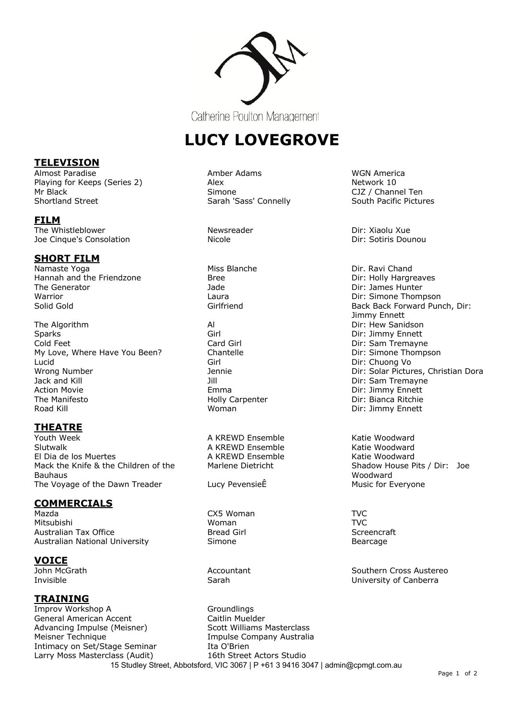

Catherine Poulton Management

# **LUCY LOVEGROVE**

A KREWD Ensemble<br>A KREWD Ensemble Katie Woodward

15 Studley Street, Abbotsford, VIC 3067 | P +61 3 9416 3047 | admin@cpmgt.com.au

Girlfriend Girlfriend Back Back Forward Punch, Dir: Jimmy Ennett Wrong Number The Mumber Christian Dora Jennie Dir: Solar Pictures, Christian Dora

> Marlene Dietricht Shadow House Pits / Dir: Joe Woodward<br>Music for Everyone

John McGrath **Accountant** Accountant **Southern Cross Austereo** Southern Cross Austereo Invisible Sarah University of Canberra

## **TELEVISION**

Almost Paradise **Amber Adams** Amber Adams Almost Paradise America<br>
Plaving for Keeps (Series 2) Alex Alex Playing for Keeps (Series 2) Mr Black Simone CJZ / Channel Ten Shortland Street Sarah 'Sass' Connelly South Pacific Pictures

#### **FILM**

The Whistleblower **Newsreader** Newsreader **Newsreader** Dir: Xiaolu Xue Joe Cinque's Consolation The Consolation Nicole Nicole 2012 10: Sotiris Dounou

# **SHORT FILM**

Namaste Yoga **Miss Blanche** Miss Blanche **Dir. Ravi Chand** Hannah and the Friendzone Bree Dir: Holly Hargreaves The Generator **The Generator** Control of Table 1980 and Table 1980 and Direct Direct Internal Direct Internal Direct Internal Direct Internal Direct Internal Direct Internal Direct Internal Direct Internal Direct Internal Warrior Laura Dir: Simone Thompson

The Algorithm **All All Communist Communist Communist Communist Communist Communist Communist Communist Communist Communist Communist Communist Communist Communist Communist Communist Communist Communist Communist Communist** Sparks Girl Girl Dir: Jimmy Ennett (Girl Dir: Jimmy Ennett Dir: Jimmy Ennett (Girl Dir: Jimmy Ennett (Girl Dir<br>Cold Feet (Girl Dir: Sam Tremayn Cold Feet Card Girl Dir: Sam Tremayne My Love, Where Have You Been? Chantelle Chantelle Dir: Simone Thompson Lucid Girl Dir: Chuong Vo Jack and Kill Jill Dir: Sam Tremayne Action Movie **Action Movie Emma** Emma Dir: Jimmy Ennett The Manifesto **Holly Carpenter Holly Carpenter Dir: Bianca Ritchie** Road Kill North Woman Number 2012 (North Woman Number 2014) Dir: Jimmy Ennett

# **THEATRE**

Vouth Week **A KREWD Ensemble** Katie Woodward Slutwalk<br>Slutwalk **A KREWD Ensemble** Katie Woodward El Dia de los Muertes Mack the Knife & the Children of the Bauhaus The Voyage of the Dawn Treader Lucy Pevensie E

### **COMMERCIALS**

Mazda CX5 Woman TVC Mitsubishi Woman TVC Australian Tax Office **Bread Girl Screencraft** Bread Girl Screencraft Australian National University **Simone** Simone **Bearcage** 

**VOICE**

### **TRAINING**

Improv Workshop A Groundlings General American Accent Caitlin Muelder Advancing Impulse (Meisner) Scott Williams Masterclass Meisner Technique **Impulse Company Australia** Intimacy on Set/Stage Seminar Ita O'Brien Larry Moss Masterclass (Audit) 16th Street Actors Studio